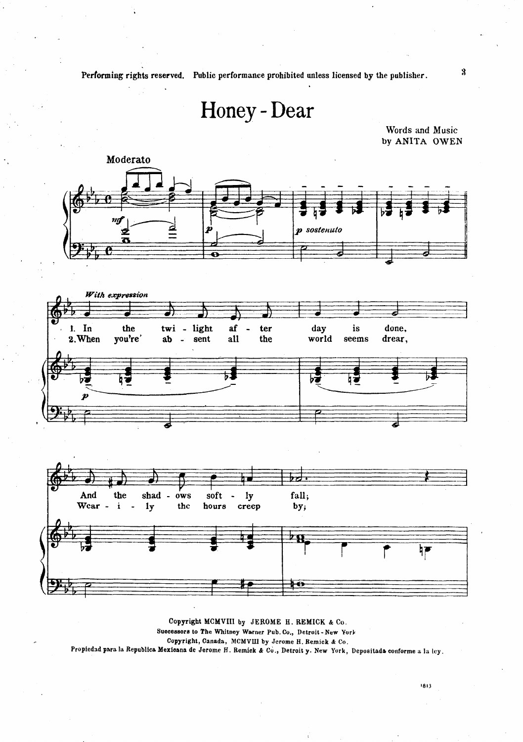Performing rights reserved. Public performance prohibited unless licensed by the publisher.

## Honey - Dear

Words and Music by ANITA OWEN



Copyright MCMVIII by JEROME H. REMICK & Co. Successors to The Whitney Warner Pub. Co., Detroit-New York Copyright, Canada, MCMVIII by Jerome H. Remick & Co. Propiedad para la Republica Mexicana de Jerome H. Remick & Co., Detroit y. New York, Depositada conforme a la ley.  $\boldsymbol{3}$ 

1813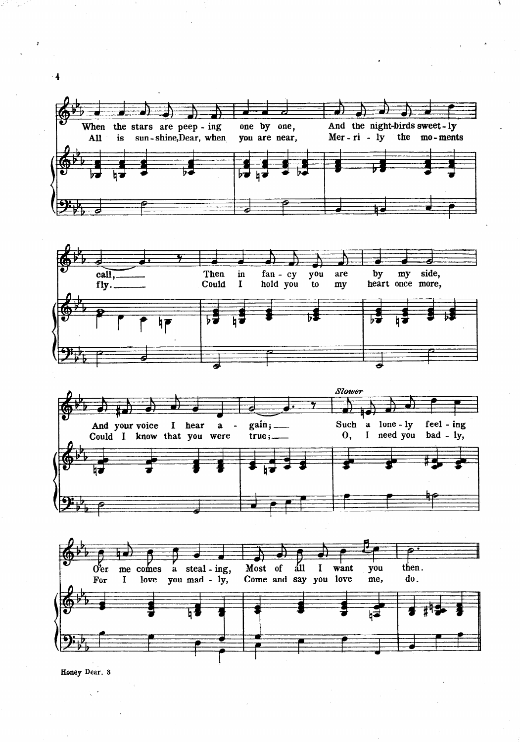







Honey Dear. 3

 $\frac{1}{2}$  ,  $\frac{1}{2}$ 

 $\overline{4}$